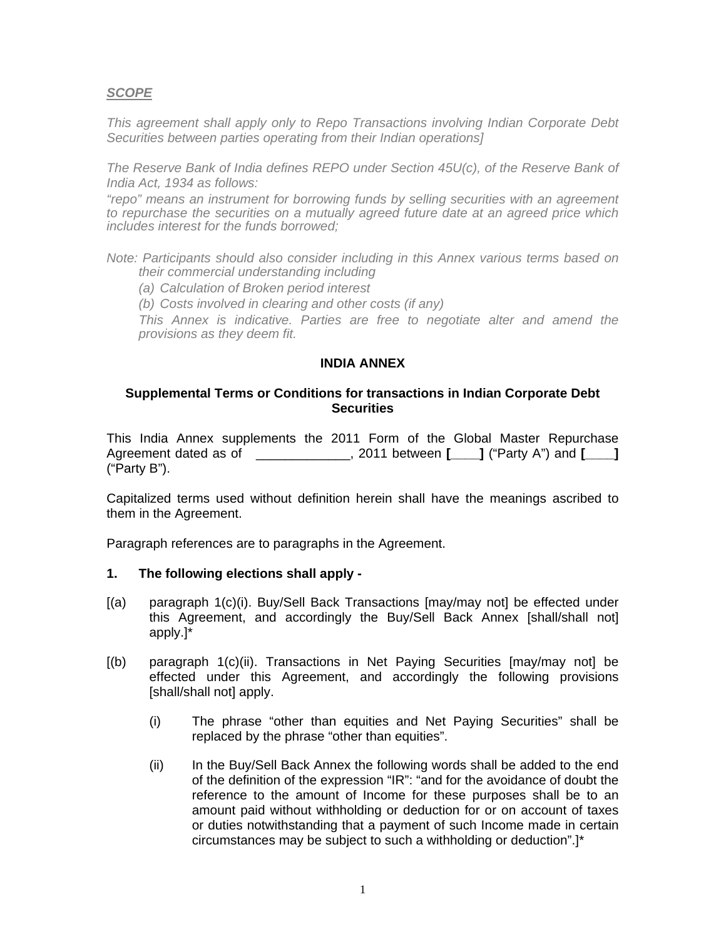# *SCOPE*

*This agreement shall apply only to Repo Transactions involving Indian Corporate Debt Securities between parties operating from their Indian operations]* 

*The Reserve Bank of India defines REPO under Section 45U(c), of the Reserve Bank of India Act, 1934 as follows:* 

*"repo" means an instrument for borrowing funds by selling securities with an agreement to repurchase the securities on a mutually agreed future date at an agreed price which includes interest for the funds borrowed;* 

*Note: Participants should also consider including in this Annex various terms based on their commercial understanding including* 

*(a) Calculation of Broken period interest* 

*(b) Costs involved in clearing and other costs (if any)* 

*This Annex is indicative. Parties are free to negotiate alter and amend the provisions as they deem fit.* 

#### **INDIA ANNEX**

## **Supplemental Terms or Conditions for transactions in Indian Corporate Debt Securities**

This India Annex supplements the 2011 Form of the Global Master Repurchase Agreement dated as of  $\qquad \qquad$ , 2011 between **[**  $\qquad$  ] ("Party A") and **[**  $\qquad$  ] ("Party B").

Capitalized terms used without definition herein shall have the meanings ascribed to them in the Agreement.

Paragraph references are to paragraphs in the Agreement.

## **1. The following elections shall apply -**

- [(a) paragraph 1(c)(i). Buy/Sell Back Transactions [may/may not] be effected under this Agreement, and accordingly the Buy/Sell Back Annex [shall/shall not] apply.]\*
- [(b) paragraph 1(c)(ii). Transactions in Net Paying Securities [may/may not] be effected under this Agreement, and accordingly the following provisions [shall/shall not] apply.
	- (i) The phrase "other than equities and Net Paying Securities" shall be replaced by the phrase "other than equities".
	- (ii) In the Buy/Sell Back Annex the following words shall be added to the end of the definition of the expression "IR": "and for the avoidance of doubt the reference to the amount of Income for these purposes shall be to an amount paid without withholding or deduction for or on account of taxes or duties notwithstanding that a payment of such Income made in certain circumstances may be subject to such a withholding or deduction".]\*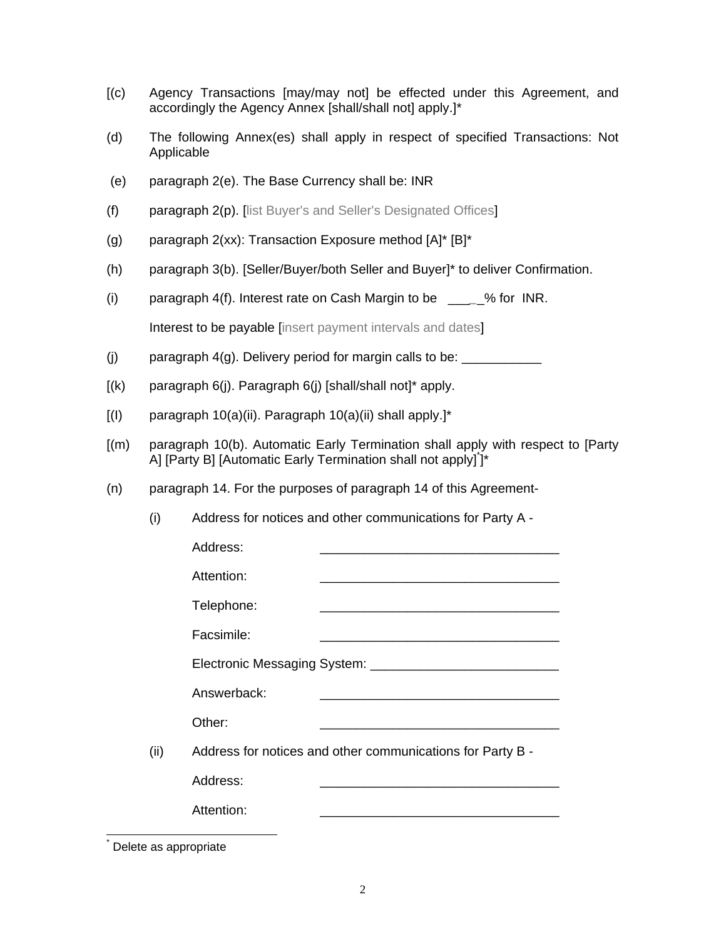- [(c) Agency Transactions [may/may not] be effected under this Agreement, and accordingly the Agency Annex [shall/shall not] apply.]\*
- (d) The following Annex(es) shall apply in respect of specified Transactions: Not Applicable
- (e) paragraph 2(e). The Base Currency shall be: INR
- (f) paragraph 2(p). [list Buyer's and Seller's Designated Offices]
- (g) paragraph  $2(xx)$ : Transaction Exposure method  $[A]^* [B]^*$
- (h) paragraph 3(b). [Seller/Buyer/both Seller and Buyer]\* to deliver Confirmation.
- (i) paragraph 4(f). Interest rate on Cash Margin to be \_\_\_*\_*\_% for INR.

Interest to be payable linsert payment intervals and dates

- (j) paragraph  $4(g)$ . Delivery period for margin calls to be:  $\frac{1}{2}$
- $[(k)$  paragraph 6(j). Paragraph 6(j) [shall/shall not]\* apply.
- $[(1)$  paragraph 10(a)(ii). Paragraph 10(a)(ii) shall apply.]\*

 $\overline{a}$ \*

- [(m) paragraph 10(b). Automatic Early Termination shall apply with respect to [Party A] [Party B] [Automatic Early Termination shall not apply]\* ]\*
- (n) paragraph 14. For the purposes of paragraph 14 of this Agreement-

(i) Address for notices and other communications for Party A -

|                       | Address:    |                                                                    |
|-----------------------|-------------|--------------------------------------------------------------------|
|                       | Attention:  |                                                                    |
|                       | Telephone:  |                                                                    |
|                       | Facsimile:  |                                                                    |
|                       |             |                                                                    |
|                       | Answerback: |                                                                    |
|                       | Other:      |                                                                    |
| (ii)                  |             | Address for notices and other communications for Party B -         |
|                       | Address:    |                                                                    |
|                       | Attention:  | <u> 1989 - Johann John Stone, mensk politik fotograf (d. 1989)</u> |
|                       |             |                                                                    |
| Delete as appropriate |             |                                                                    |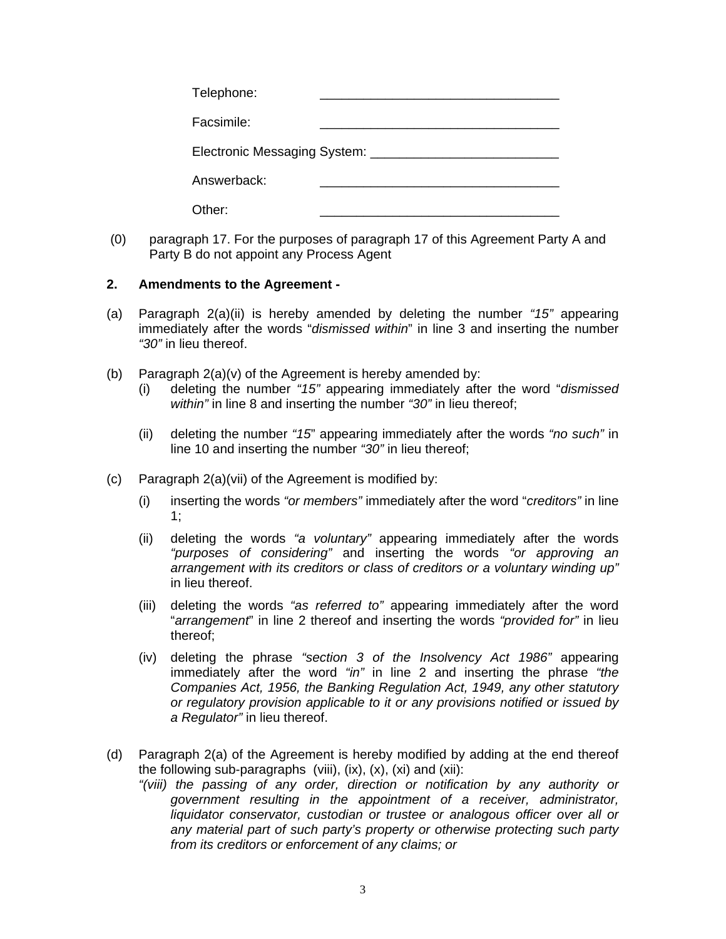| Telephone:                         |  |
|------------------------------------|--|
| Facsimile:                         |  |
| Electronic Messaging System: _____ |  |
| Answerback:                        |  |
| Dther:                             |  |

 (0) paragraph 17. For the purposes of paragraph 17 of this Agreement Party A and Party B do not appoint any Process Agent

## **2. Amendments to the Agreement -**

- (a) Paragraph 2(a)(ii) is hereby amended by deleting the number *"15"* appearing immediately after the words "*dismissed within*" in line 3 and inserting the number *"30"* in lieu thereof.
- (b) Paragraph 2(a)(v) of the Agreement is hereby amended by:
	- (i) deleting the number *"15"* appearing immediately after the word "*dismissed within"* in line 8 and inserting the number *"30"* in lieu thereof;
	- (ii) deleting the number *"15*" appearing immediately after the words *"no such"* in line 10 and inserting the number *"30"* in lieu thereof;
- (c) Paragraph 2(a)(vii) of the Agreement is modified by:
	- (i) inserting the words *"or members"* immediately after the word "*creditors"* in line 1;
	- (ii) deleting the words *"a voluntary"* appearing immediately after the words *"purposes of considering"* and inserting the words *"or approving an arrangement with its creditors or class of creditors or a voluntary winding up"* in lieu thereof.
	- (iii) deleting the words *"as referred to"* appearing immediately after the word "*arrangement*" in line 2 thereof and inserting the words *"provided for"* in lieu thereof;
	- (iv) deleting the phrase *"section 3 of the Insolvency Act 1986"* appearing immediately after the word *"in"* in line 2 and inserting the phrase *"the Companies Act, 1956, the Banking Regulation Act, 1949, any other statutory or regulatory provision applicable to it or any provisions notified or issued by a Regulator"* in lieu thereof.
- (d) Paragraph 2(a) of the Agreement is hereby modified by adding at the end thereof the following sub-paragraphs (viii),  $(ix)$ ,  $(x)$ ,  $(x)$  and  $(xii)$ :
	- *"(viii) the passing of any order, direction or notification by any authority or government resulting in the appointment of a receiver, administrator, liquidator conservator, custodian or trustee or analogous officer over all or any material part of such party's property or otherwise protecting such party from its creditors or enforcement of any claims; or*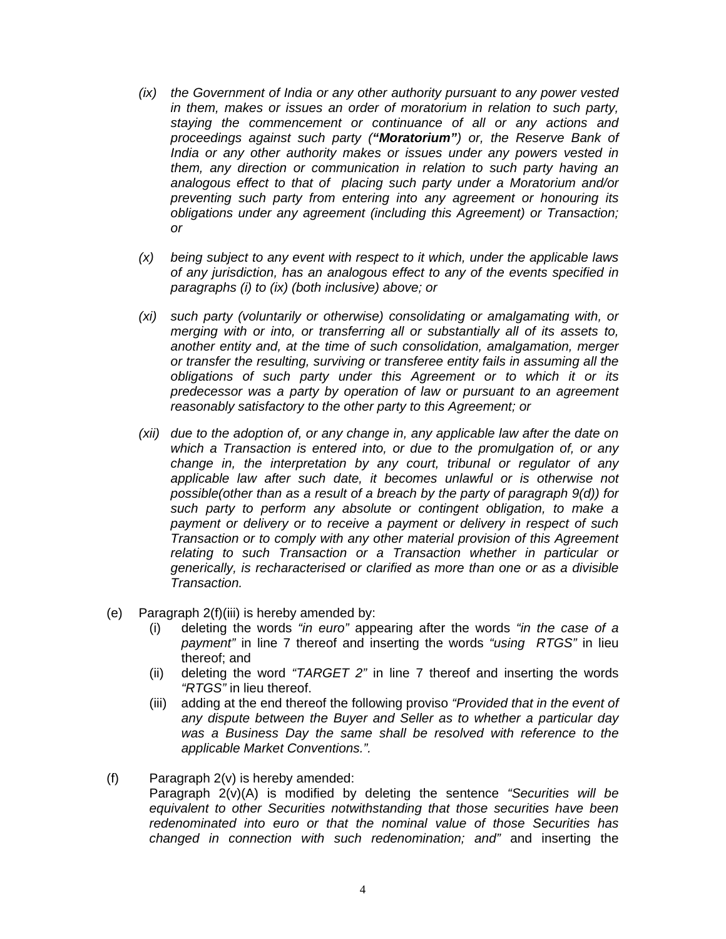- *(ix) the Government of India or any other authority pursuant to any power vested in them, makes or issues an order of moratorium in relation to such party, staying the commencement or continuance of all or any actions and proceedings against such party ("Moratorium") or, the Reserve Bank of India or any other authority makes or issues under any powers vested in them, any direction or communication in relation to such party having an analogous effect to that of placing such party under a Moratorium and/or preventing such party from entering into any agreement or honouring its obligations under any agreement (including this Agreement) or Transaction; or*
- *(x) being subject to any event with respect to it which, under the applicable laws of any jurisdiction, has an analogous effect to any of the events specified in paragraphs (i) to (ix) (both inclusive) above; or*
- *(xi) such party (voluntarily or otherwise) consolidating or amalgamating with, or merging with or into, or transferring all or substantially all of its assets to, another entity and, at the time of such consolidation, amalgamation, merger or transfer the resulting, surviving or transferee entity fails in assuming all the obligations of such party under this Agreement or to which it or its predecessor was a party by operation of law or pursuant to an agreement reasonably satisfactory to the other party to this Agreement; or*
- *(xii) due to the adoption of, or any change in, any applicable law after the date on which a Transaction is entered into, or due to the promulgation of, or any change in, the interpretation by any court, tribunal or regulator of any applicable law after such date, it becomes unlawful or is otherwise not possible(other than as a result of a breach by the party of paragraph 9(d)) for such party to perform any absolute or contingent obligation, to make a payment or delivery or to receive a payment or delivery in respect of such Transaction or to comply with any other material provision of this Agreement relating to such Transaction or a Transaction whether in particular or generically, is recharacterised or clarified as more than one or as a divisible Transaction.*
- (e) Paragraph 2(f)(iii) is hereby amended by:
	- (i) deleting the words *"in euro"* appearing after the words *"in the case of a payment"* in line 7 thereof and inserting the words *"using RTGS"* in lieu thereof; and
	- (ii) deleting the word *"TARGET 2"* in line 7 thereof and inserting the words *"RTGS"* in lieu thereof.
	- (iii) adding at the end thereof the following proviso *"Provided that in the event of any dispute between the Buyer and Seller as to whether a particular day was a Business Day the same shall be resolved with reference to the applicable Market Conventions.".*
- (f) Paragraph 2(v) is hereby amended:

Paragraph 2(v)(A) is modified by deleting the sentence *"Securities will be equivalent to other Securities notwithstanding that those securities have been redenominated into euro or that the nominal value of those Securities has changed in connection with such redenomination; and"* and inserting the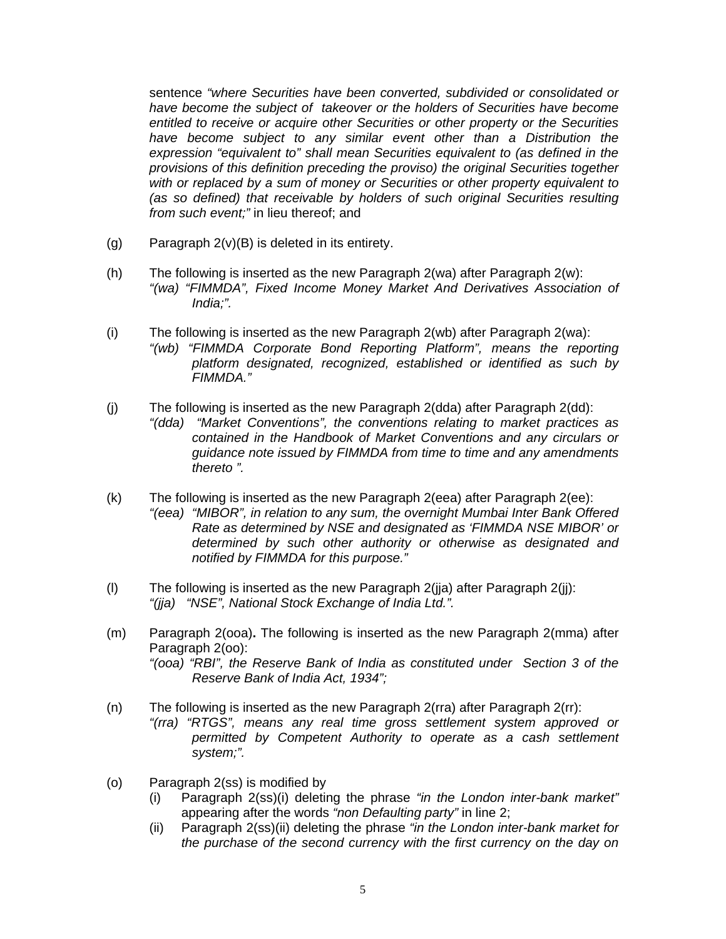sentence *"where Securities have been converted, subdivided or consolidated or have become the subject of takeover or the holders of Securities have become entitled to receive or acquire other Securities or other property or the Securities have become subject to any similar event other than a Distribution the expression "equivalent to" shall mean Securities equivalent to (as defined in the provisions of this definition preceding the proviso) the original Securities together with or replaced by a sum of money or Securities or other property equivalent to (as so defined) that receivable by holders of such original Securities resulting from such event;"* in lieu thereof; and

- (g) Paragraph 2(v)(B) is deleted in its entirety.
- (h) The following is inserted as the new Paragraph 2(wa) after Paragraph 2(w): *"(wa) "FIMMDA", Fixed Income Money Market And Derivatives Association of India;".*
- (i) The following is inserted as the new Paragraph 2(wb) after Paragraph 2(wa): *"(wb) "FIMMDA Corporate Bond Reporting Platform", means the reporting platform designated, recognized, established or identified as such by FIMMDA."*
- (j) The following is inserted as the new Paragraph 2(dda) after Paragraph 2(dd): *"(dda) "Market Conventions", the conventions relating to market practices as contained in the Handbook of Market Conventions and any circulars or guidance note issued by FIMMDA from time to time and any amendments thereto ".*
- (k) The following is inserted as the new Paragraph 2(eea) after Paragraph 2(ee): *"(eea) "MIBOR", in relation to any sum, the overnight Mumbai Inter Bank Offered Rate as determined by NSE and designated as 'FIMMDA NSE MIBOR' or determined by such other authority or otherwise as designated and notified by FIMMDA for this purpose."*
- (I) The following is inserted as the new Paragraph  $2(i)a$  after Paragraph  $2(i)$ : *"(jja) "NSE", National Stock Exchange of India Ltd.".*
- (m) Paragraph 2(ooa)**.** The following is inserted as the new Paragraph 2(mma) after Paragraph 2(oo): *"(ooa) "RBI", the Reserve Bank of India as constituted under Section 3 of the Reserve Bank of India Act, 1934";*
- (n) The following is inserted as the new Paragraph 2(rra) after Paragraph 2(rr): *"(rra) "RTGS", means any real time gross settlement system approved or permitted by Competent Authority to operate as a cash settlement system;".*
- (o) Paragraph 2(ss) is modified by
	- (i) Paragraph 2(ss)(i) deleting the phrase *"in the London inter-bank market"* appearing after the words *"non Defaulting party"* in line 2;
	- (ii) Paragraph 2(ss)(ii) deleting the phrase *"in the London inter-bank market for the purchase of the second currency with the first currency on the day on*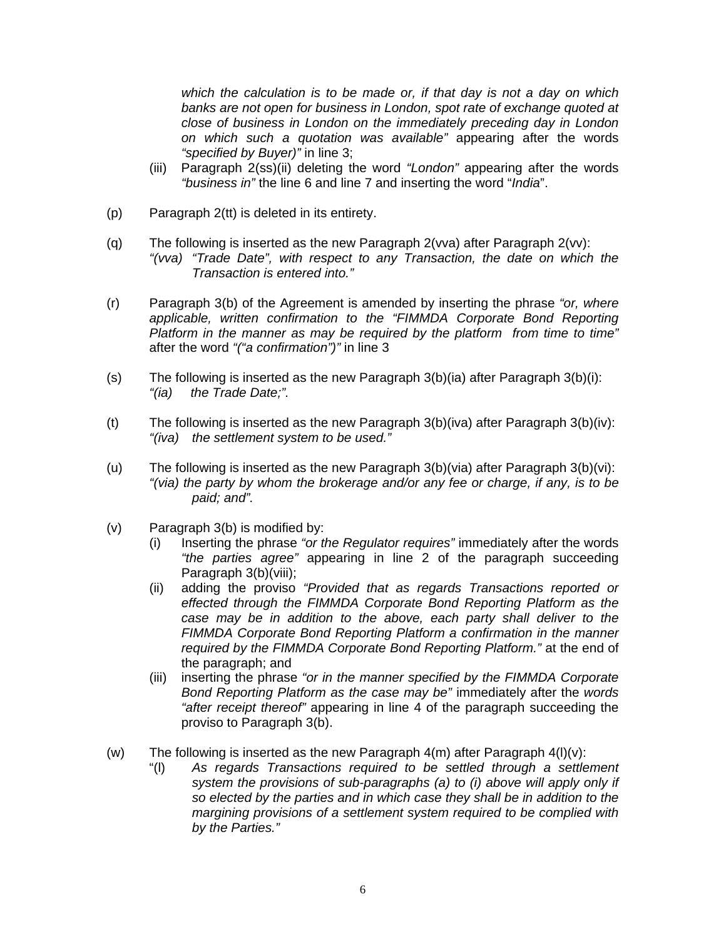*which the calculation is to be made or, if that day is not a day on which banks are not open for business in London, spot rate of exchange quoted at close of business in London on the immediately preceding day in London on which such a quotation was available"* appearing after the words *"specified by Buyer)"* in line 3;

- (iii) Paragraph 2(ss)(ii) deleting the word *"London"* appearing after the words *"business in"* the line 6 and line 7 and inserting the word "*India*".
- (p) Paragraph 2(tt) is deleted in its entirety.
- (q) The following is inserted as the new Paragraph 2(vva) after Paragraph 2(vv): *"(vva) "Trade Date", with respect to any Transaction, the date on which the Transaction is entered into."*
- (r) Paragraph 3(b) of the Agreement is amended by inserting the phrase *"or, where applicable, written confirmation to the "FIMMDA Corporate Bond Reporting Platform in the manner as may be required by the platform from time to time"*  after the word *"("a confirmation")"* in line 3
- (s) The following is inserted as the new Paragraph 3(b)(ia) after Paragraph 3(b)(i): *"(ia) the Trade Date;".*
- (t) The following is inserted as the new Paragraph 3(b)(iva) after Paragraph 3(b)(iv): *"(iva) the settlement system to be used."*
- (u) The following is inserted as the new Paragraph 3(b)(via) after Paragraph 3(b)(vi): *"(via) the party by whom the brokerage and/or any fee or charge, if any, is to be paid; and".*
- (v) Paragraph 3(b) is modified by:
	- (i) Inserting the phrase *"or the Regulator requires"* immediately after the words *"the parties agree"* appearing in line 2 of the paragraph succeeding Paragraph 3(b)(viii);
	- (ii) adding the proviso *"Provided that as regards Transactions reported or effected through the FIMMDA Corporate Bond Reporting Platform as the case may be in addition to the above, each party shall deliver to the FIMMDA Corporate Bond Reporting Platform a confirmation in the manner required by the FIMMDA Corporate Bond Reporting Platform."* at the end of the paragraph; and
	- (iii) inserting the phrase *"or in the manner specified by the FIMMDA Corporate Bond Reporting Platform as the case may be"* immediately after the *words "after receipt thereof"* appearing in line 4 of the paragraph succeeding the proviso to Paragraph 3(b).
- (w) The following is inserted as the new Paragraph  $4(m)$  after Paragraph  $4(I)(v)$ :
	- "(l) *As regards Transactions required to be settled through a settlement system the provisions of sub-paragraphs (a) to (i) above will apply only if so elected by the parties and in which case they shall be in addition to the margining provisions of a settlement system required to be complied with by the Parties."*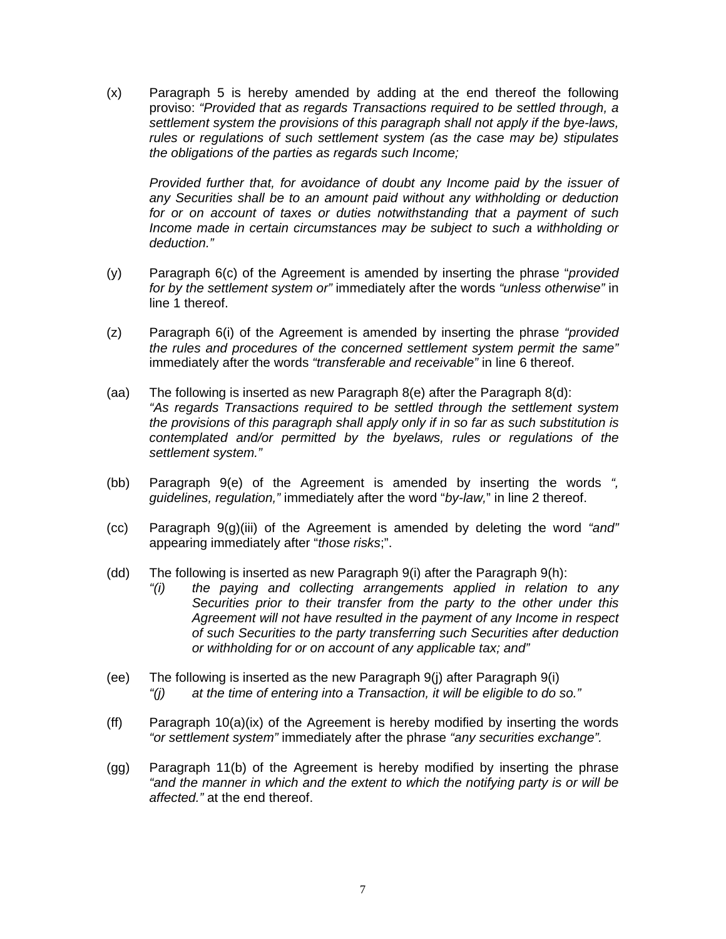(x) Paragraph 5 is hereby amended by adding at the end thereof the following proviso: *"Provided that as regards Transactions required to be settled through, a settlement system the provisions of this paragraph shall not apply if the bye-laws, rules or regulations of such settlement system (as the case may be) stipulates the obligations of the parties as regards such Income;* 

*Provided further that, for avoidance of doubt any Income paid by the issuer of any Securities shall be to an amount paid without any withholding or deduction for or on account of taxes or duties notwithstanding that a payment of such Income made in certain circumstances may be subject to such a withholding or deduction."*

- (y) Paragraph 6(c) of the Agreement is amended by inserting the phrase "*provided for by the settlement system or"* immediately after the words *"unless otherwise"* in line 1 thereof.
- (z) Paragraph 6(i) of the Agreement is amended by inserting the phrase *"provided the rules and procedures of the concerned settlement system permit the same"* immediately after the words *"transferable and receivable"* in line 6 thereof.
- (aa) The following is inserted as new Paragraph 8(e) after the Paragraph 8(d): *"As regards Transactions required to be settled through the settlement system the provisions of this paragraph shall apply only if in so far as such substitution is contemplated and/or permitted by the byelaws, rules or regulations of the settlement system."*
- (bb) Paragraph 9(e) of the Agreement is amended by inserting the words *", guidelines, regulation,"* immediately after the word "*by-law,*" in line 2 thereof.
- (cc) Paragraph 9(g)(iii) of the Agreement is amended by deleting the word *"and"* appearing immediately after "*those risks*;".
- (dd) The following is inserted as new Paragraph 9(i) after the Paragraph 9(h):
	- *"(i) the paying and collecting arrangements applied in relation to any Securities prior to their transfer from the party to the other under this Agreement will not have resulted in the payment of any Income in respect of such Securities to the party transferring such Securities after deduction or withholding for or on account of any applicable tax; and"*
- (ee) The following is inserted as the new Paragraph 9(j) after Paragraph 9(i) *"(j) at the time of entering into a Transaction, it will be eligible to do so."*
- (ff) Paragraph 10(a)(ix) of the Agreement is hereby modified by inserting the words *"or settlement system"* immediately after the phrase *"any securities exchange".*
- (gg) Paragraph 11(b) of the Agreement is hereby modified by inserting the phrase *"and the manner in which and the extent to which the notifying party is or will be affected."* at the end thereof.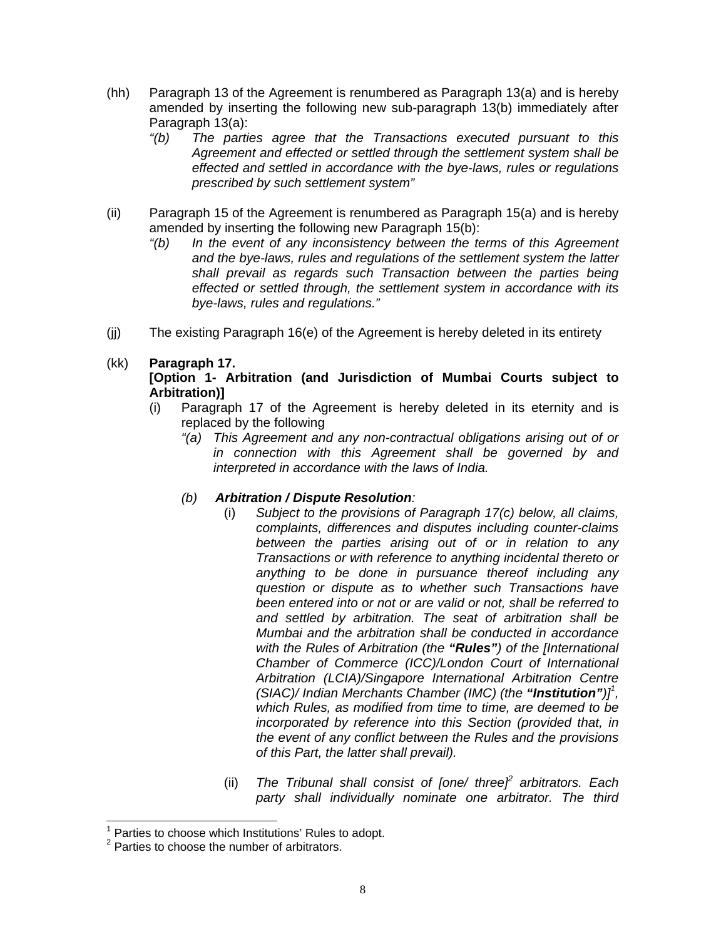- (hh) Paragraph 13 of the Agreement is renumbered as Paragraph 13(a) and is hereby amended by inserting the following new sub-paragraph 13(b) immediately after Paragraph 13(a):
	- *"(b) The parties agree that the Transactions executed pursuant to this Agreement and effected or settled through the settlement system shall be effected and settled in accordance with the bye-laws, rules or regulations prescribed by such settlement system"*
- (ii) Paragraph 15 of the Agreement is renumbered as Paragraph 15(a) and is hereby amended by inserting the following new Paragraph 15(b):
	- *"(b) In the event of any inconsistency between the terms of this Agreement and the bye-laws, rules and regulations of the settlement system the latter shall prevail as regards such Transaction between the parties being effected or settled through, the settlement system in accordance with its bye-laws, rules and regulations."*
- (jj) The existing Paragraph 16(e) of the Agreement is hereby deleted in its entirety

# (kk) **Paragraph 17.**

# **[Option 1- Arbitration (and Jurisdiction of Mumbai Courts subject to Arbitration)]**

- (i) Paragraph 17 of the Agreement is hereby deleted in its eternity and is replaced by the following
	- *"(a) This Agreement and any non-contractual obligations arising out of or in connection with this Agreement shall be governed by and interpreted in accordance with the laws of India.*

# *(b) Arbitration / Dispute Resolution:*

- (i) *Subject to the provisions of Paragraph 17(c) below, all claims, complaints, differences and disputes including counter-claims between the parties arising out of or in relation to any Transactions or with reference to anything incidental thereto or anything to be done in pursuance thereof including any question or dispute as to whether such Transactions have been entered into or not or are valid or not, shall be referred to and settled by arbitration. The seat of arbitration shall be Mumbai and the arbitration shall be conducted in accordance with the Rules of Arbitration (the "Rules") of the [International Chamber of Commerce (ICC)/London Court of International Arbitration (LCIA)/Singapore International Arbitration Centre (SIAC)/ Indian Merchants Chamber (IMC) (the "Institution")]<sup>1</sup>*, *which Rules, as modified from time to time, are deemed to be incorporated by reference into this Section (provided that, in the event of any conflict between the Rules and the provisions of this Part, the latter shall prevail).*
- (ii) *The Tribunal shall consist of [one/ three]<sup>2</sup> arbitrators. Each party shall individually nominate one arbitrator. The third*

**TED 1**<br><sup>1</sup> Parties to choose which Institutions' Rules to adopt.

 $2$  Parties to choose the number of arbitrators.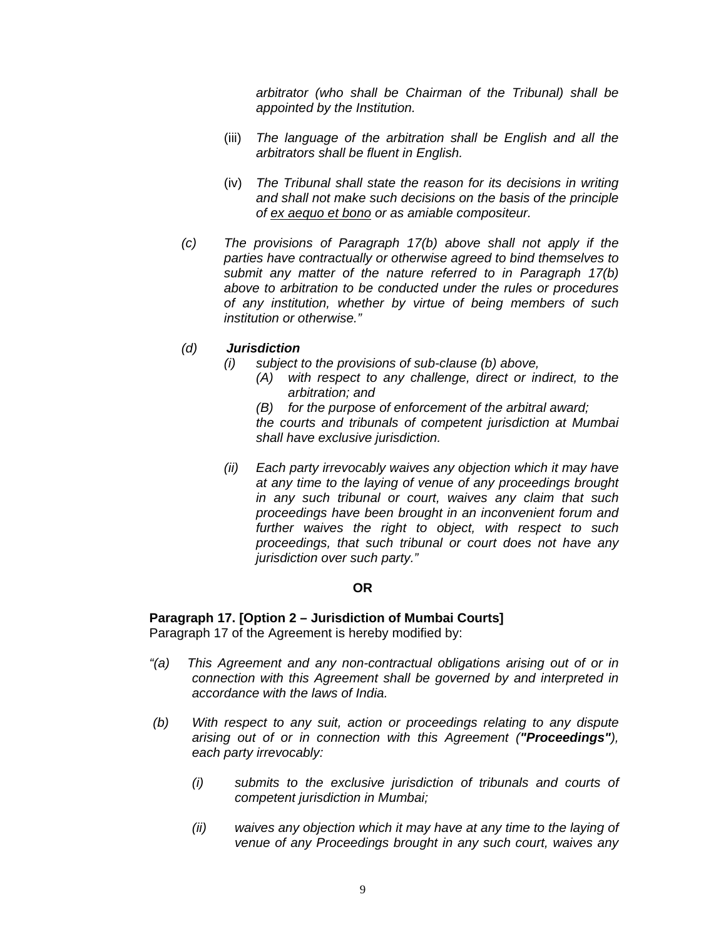*arbitrator (who shall be Chairman of the Tribunal) shall be appointed by the Institution.* 

- (iii) *The language of the arbitration shall be English and all the arbitrators shall be fluent in English.*
- (iv) *The Tribunal shall state the reason for its decisions in writing and shall not make such decisions on the basis of the principle of ex aequo et bono or as amiable compositeur.*
- *(c) The provisions of Paragraph 17(b) above shall not apply if the parties have contractually or otherwise agreed to bind themselves to submit any matter of the nature referred to in Paragraph 17(b) above to arbitration to be conducted under the rules or procedures of any institution, whether by virtue of being members of such institution or otherwise."*

## *(d) Jurisdiction*

- *(i) subject to the provisions of sub-clause (b) above,* 
	- *(A) with respect to any challenge, direct or indirect, to the arbitration; and*
	- *(B) for the purpose of enforcement of the arbitral award;*

*the courts and tribunals of competent jurisdiction at Mumbai shall have exclusive jurisdiction.* 

*(ii) Each party irrevocably waives any objection which it may have at any time to the laying of venue of any proceedings brought in any such tribunal or court, waives any claim that such proceedings have been brought in an inconvenient forum and further waives the right to object, with respect to such proceedings, that such tribunal or court does not have any jurisdiction over such party."* 

## **OR**

# **Paragraph 17. [Option 2 – Jurisdiction of Mumbai Courts]**

Paragraph 17 of the Agreement is hereby modified by:

- *"(a) This Agreement and any non-contractual obligations arising out of or in connection with this Agreement shall be governed by and interpreted in accordance with the laws of India.*
- *(b) With respect to any suit, action or proceedings relating to any dispute arising out of or in connection with this Agreement ("Proceedings"), each party irrevocably:* 
	- *(i) submits to the exclusive jurisdiction of tribunals and courts of competent jurisdiction in Mumbai;*
	- *(ii) waives any objection which it may have at any time to the laying of venue of any Proceedings brought in any such court, waives any*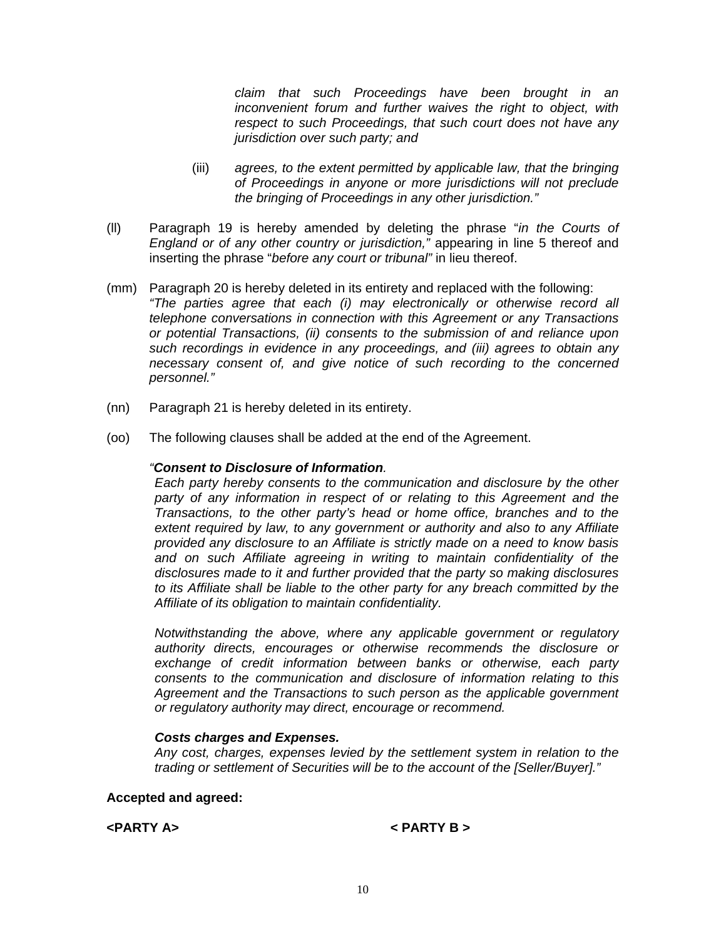*claim that such Proceedings have been brought in an inconvenient forum and further waives the right to object, with respect to such Proceedings, that such court does not have any jurisdiction over such party; and* 

- (iii) *agrees, to the extent permitted by applicable law, that the bringing of Proceedings in anyone or more jurisdictions will not preclude the bringing of Proceedings in any other jurisdiction."*
- (ll) Paragraph 19 is hereby amended by deleting the phrase "*in the Courts of England or of any other country or jurisdiction,"* appearing in line 5 thereof and inserting the phrase "*before any court or tribunal"* in lieu thereof.
- (mm) Paragraph 20 is hereby deleted in its entirety and replaced with the following: *"The parties agree that each (i) may electronically or otherwise record all telephone conversations in connection with this Agreement or any Transactions or potential Transactions, (ii) consents to the submission of and reliance upon such recordings in evidence in any proceedings, and (iii) agrees to obtain any necessary consent of, and give notice of such recording to the concerned personnel."*
- (nn) Paragraph 21 is hereby deleted in its entirety.
- (oo) The following clauses shall be added at the end of the Agreement.

#### *"Consent to Disclosure of Information.*

*Each party hereby consents to the communication and disclosure by the other party of any information in respect of or relating to this Agreement and the Transactions, to the other party's head or home office, branches and to the extent required by law, to any government or authority and also to any Affiliate provided any disclosure to an Affiliate is strictly made on a need to know basis and on such Affiliate agreeing in writing to maintain confidentiality of the disclosures made to it and further provided that the party so making disclosures to its Affiliate shall be liable to the other party for any breach committed by the Affiliate of its obligation to maintain confidentiality.* 

*Notwithstanding the above, where any applicable government or regulatory authority directs, encourages or otherwise recommends the disclosure or exchange of credit information between banks or otherwise, each party consents to the communication and disclosure of information relating to this Agreement and the Transactions to such person as the applicable government or regulatory authority may direct, encourage or recommend.* 

## *Costs charges and Expenses.*

*Any cost, charges, expenses levied by the settlement system in relation to the trading or settlement of Securities will be to the account of the [Seller/Buyer]."* 

#### **Accepted and agreed:**

**<PARTY A> < PARTY B >**